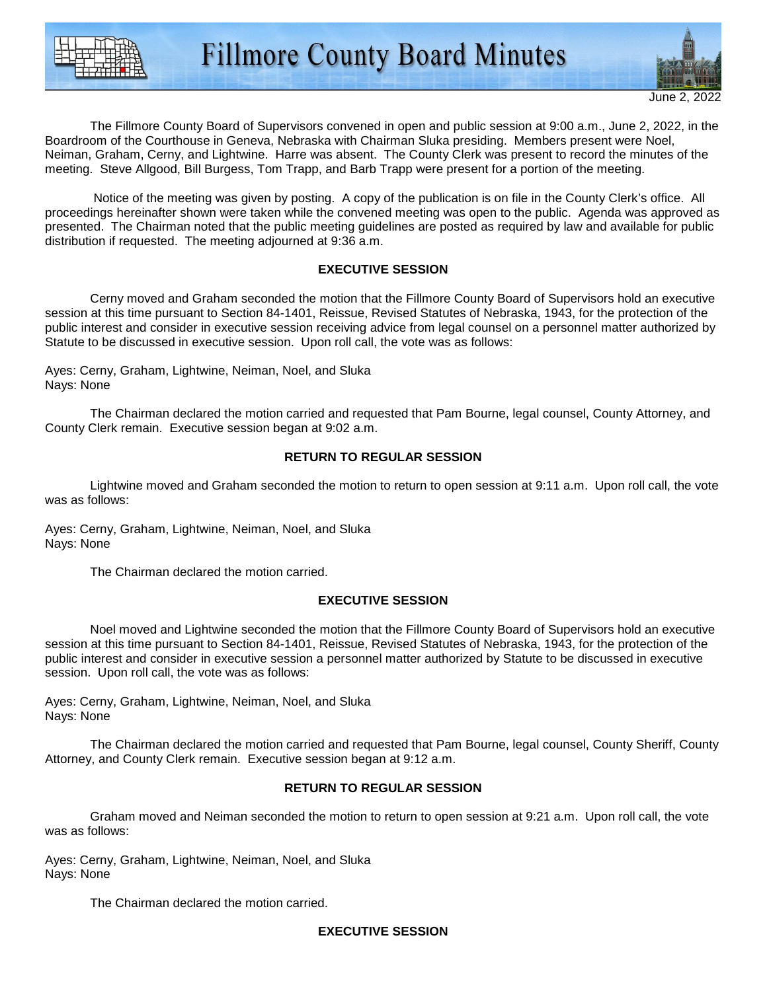



The Fillmore County Board of Supervisors convened in open and public session at 9:00 a.m., June 2, 2022, in the Boardroom of the Courthouse in Geneva, Nebraska with Chairman Sluka presiding. Members present were Noel, Neiman, Graham, Cerny, and Lightwine. Harre was absent. The County Clerk was present to record the minutes of the meeting. Steve Allgood, Bill Burgess, Tom Trapp, and Barb Trapp were present for a portion of the meeting.

 Notice of the meeting was given by posting. A copy of the publication is on file in the County Clerk's office. All proceedings hereinafter shown were taken while the convened meeting was open to the public. Agenda was approved as presented. The Chairman noted that the public meeting guidelines are posted as required by law and available for public distribution if requested. The meeting adjourned at 9:36 a.m.

### **EXECUTIVE SESSION**

 Cerny moved and Graham seconded the motion that the Fillmore County Board of Supervisors hold an executive session at this time pursuant to Section 84-1401, Reissue, Revised Statutes of Nebraska, 1943, for the protection of the public interest and consider in executive session receiving advice from legal counsel on a personnel matter authorized by Statute to be discussed in executive session. Upon roll call, the vote was as follows:

Ayes: Cerny, Graham, Lightwine, Neiman, Noel, and Sluka Nays: None

 The Chairman declared the motion carried and requested that Pam Bourne, legal counsel, County Attorney, and County Clerk remain. Executive session began at 9:02 a.m.

#### **RETURN TO REGULAR SESSION**

 Lightwine moved and Graham seconded the motion to return to open session at 9:11 a.m. Upon roll call, the vote was as follows:

Ayes: Cerny, Graham, Lightwine, Neiman, Noel, and Sluka Nays: None

The Chairman declared the motion carried.

#### **EXECUTIVE SESSION**

 Noel moved and Lightwine seconded the motion that the Fillmore County Board of Supervisors hold an executive session at this time pursuant to Section 84-1401, Reissue, Revised Statutes of Nebraska, 1943, for the protection of the public interest and consider in executive session a personnel matter authorized by Statute to be discussed in executive session. Upon roll call, the vote was as follows:

Ayes: Cerny, Graham, Lightwine, Neiman, Noel, and Sluka Nays: None

 The Chairman declared the motion carried and requested that Pam Bourne, legal counsel, County Sheriff, County Attorney, and County Clerk remain. Executive session began at 9:12 a.m.

### **RETURN TO REGULAR SESSION**

 Graham moved and Neiman seconded the motion to return to open session at 9:21 a.m. Upon roll call, the vote was as follows:

Ayes: Cerny, Graham, Lightwine, Neiman, Noel, and Sluka Nays: None

The Chairman declared the motion carried.